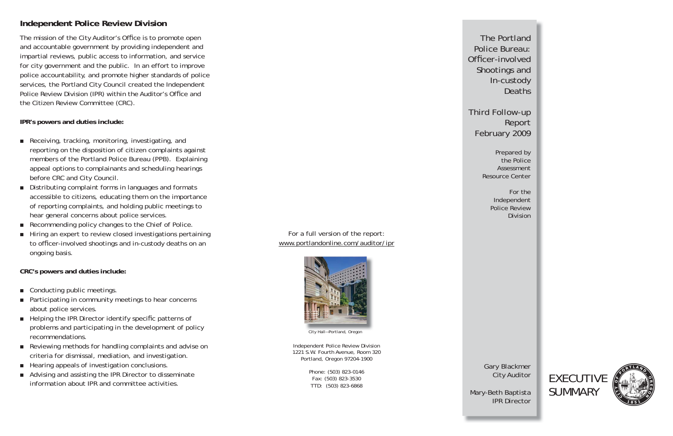The Portland Police Bureau: Officer-involved Shootings and In-custody Deaths

Third Follow-up Report February 2009

Prepared by the Police Assessment Resource Center

> For the Independent Police Review Division

Gary Blackmer City Auditor

Mary-Beth Baptista IPR Director





The mission of the City Auditor's Office is to promote open and accountable government by providing independent and impartial reviews, public access to information, and service for city government and the public. In an effort to improve police accountability, and promote higher standards of police services, the Portland City Council created the Independent Police Review Division (IPR) within the Auditor's Office and the Citizen Review Committee (CRC).

- Receiving, tracking, monitoring, investigating, and reporting on the disposition of citizen complaints against members of the Portland Police Bureau (PPB). Explaining appeal options to complainants and scheduling hearings before CRC and City Council.
- Distributing complaint forms in languages and formats accessible to citizens, educating them on the importance of reporting complaints, and holding public meetings to hear general concerns about police services.
- Recommending policy changes to the Chief of Police.
- Hiring an expert to review closed investigations pertaining to officer-involved shootings and in-custody deaths on an ongoing basis.

## **IPR's powers and duties include:**

- Conducting public meetings.
- Participating in community meetings to hear concerns about police services.
- Helping the IPR Director identify specific patterns of problems and participating in the development of policy recommendations.
- Reviewing methods for handling complaints and advise on criteria for dismissal, mediation, and investigation.
- Hearing appeals of investigation conclusions.
- Advising and assisting the IPR Director to disseminate information about IPR and committee activities.

**CRC's powers and duties include:** 

## **Independent Police Review Division**



City Hall—Portland, Oregon

Independent Police Review Division 1221 S.W. Fourth Avenue, Room 320 Portland, Oregon 97204-1900

> Phone: (503) 823-0146 Fax: (503) 823-3530 TTD: (503) 823-6868

For a full version of the report: www.portlandonline.com/auditor/ipr